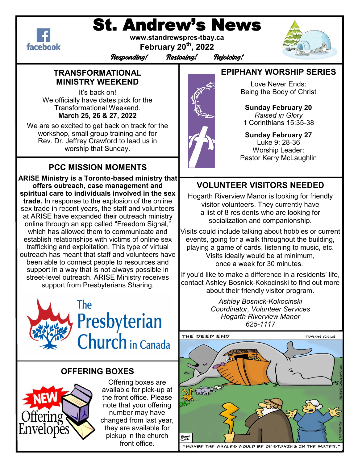

# St. Andrew's News

**www.standrewspres-tbay.ca February 20th, 2022**



Responding! Restoring! Rejoicing!

## **TRANSFORMATIONAL MINISTRY WEEKEND**

It's back on! We officially have dates pick for the Transformational Weekend. **March 25, 26 & 27, 2022**

We are so excited to get back on track for the workshop, small group training and for Rev. Dr. Jeffrey Crawford to lead us in worship that Sunday.

# **PCC MISSION MOMENTS**

**ARISE Ministry is a Toronto-based ministry that offers outreach, case management and spiritual care to individuals involved in the sex trade.** In response to the explosion of the online sex trade in recent years, the staff and volunteers at ARISE have expanded their outreach ministry online through an app called "Freedom Signal," which has allowed them to communicate and establish relationships with victims of online sex trafficking and exploitation. This type of virtual outreach has meant that staff and volunteers have been able to connect people to resources and support in a way that is not always possible in street-level outreach. ARISE Ministry receives support from Presbyterians Sharing.



# **OFFERING BOXES**



Offering boxes are available for pick-up at the front office. Please note that your offering number may have changed from last year, they are available for pickup in the church front office.

# **EPIPHANY WORSHIP SERIES**

Love Never Ends: Being the Body of Christ

**Sunday February 20**  *Raised in Glory*  1 Corinthians 15:35-38

**Sunday February 27**  Luke 9: 28-36 Worship Leader: Pastor Kerry McLaughlin

# **VOLUNTEER VISITORS NEEDED**

Hogarth Riverview Manor is looking for friendly visitor volunteers. They currently have a list of 8 residents who are looking for socialization and companionship.

Visits could include talking about hobbies or current events, going for a walk throughout the building, playing a game of cards, listening to music, etc. Visits ideally would be at minimum, once a week for 30 minutes.

If you'd like to make a difference in a residents' life, contact Ashley Bosnick-Kokocinski to find out more about their friendly visitor program.

> *Ashley Bosnick-Kokocinski Coordinator, Volunteer Services Hogarth Riverview Manor 625-1117*